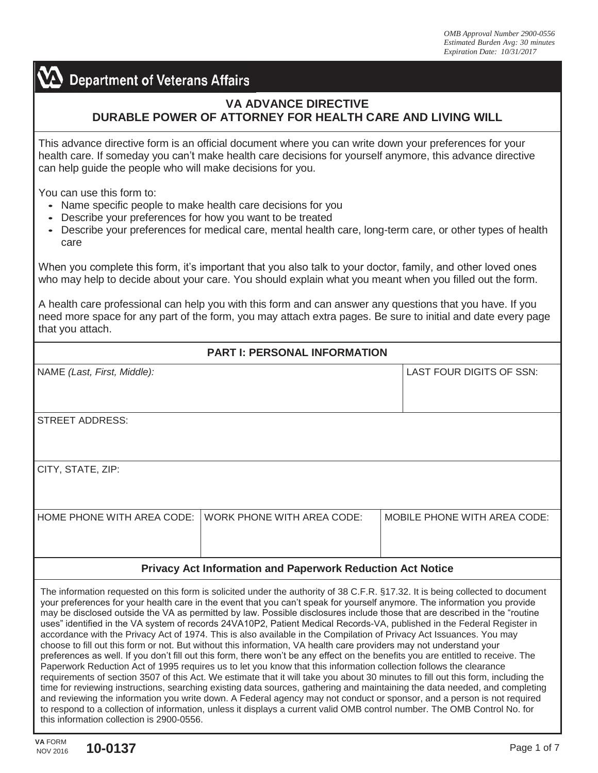**Department of Veterans Affairs** 

## **VA ADVANCE DIRECTIVE DURABLE POWER OF ATTORNEY FOR HEALTH CARE AND LIVING WILL**

This advance directive form is an official document where you can write down your preferences for your health care. If someday you can't make health care decisions for yourself anymore, this advance directive can help guide the people who will make decisions for you.

You can use this form to:

- Name specific people to make health care decisions for you
- Describe your preferences for how you want to be treated
- Describe your preferences for medical care, mental health care, long-term care, or other types of health care

When you complete this form, it's important that you also talk to your doctor, family, and other loved ones who may help to decide about your care. You should explain what you meant when you filled out the form.

A health care professional can help you with this form and can answer any questions that you have. If you need more space for any part of the form, you may attach extra pages. Be sure to initial and date every page that you attach.

| <b>PART I: PERSONAL INFORMATION</b>                               |                            |                                     |  |  |
|-------------------------------------------------------------------|----------------------------|-------------------------------------|--|--|
|                                                                   |                            |                                     |  |  |
| NAME (Last, First, Middle):                                       |                            | LAST FOUR DIGITS OF SSN:            |  |  |
|                                                                   |                            |                                     |  |  |
|                                                                   |                            |                                     |  |  |
| <b>STREET ADDRESS:</b>                                            |                            |                                     |  |  |
|                                                                   |                            |                                     |  |  |
|                                                                   |                            |                                     |  |  |
| CITY, STATE, ZIP:                                                 |                            |                                     |  |  |
|                                                                   |                            |                                     |  |  |
|                                                                   |                            |                                     |  |  |
| HOME PHONE WITH AREA CODE:                                        | WORK PHONE WITH AREA CODE: | <b>MOBILE PHONE WITH AREA CODE:</b> |  |  |
|                                                                   |                            |                                     |  |  |
|                                                                   |                            |                                     |  |  |
| <b>Privacy Act Information and Paperwork Reduction Act Notice</b> |                            |                                     |  |  |
|                                                                   |                            |                                     |  |  |

The information requested on this form is solicited under the authority of 38 C.F.R. §17.32. It is being collected to document your preferences for your health care in the event that you can't speak for yourself anymore. The information you provide may be disclosed outside the VA as permitted by law. Possible disclosures include those that are described in the "routine uses" identified in the VA system of records 24VA10P2, Patient Medical Records-VA, published in the Federal Register in accordance with the Privacy Act of 1974. This is also available in the Compilation of Privacy Act Issuances. You may choose to fill out this form or not. [But without this information, VA health care p](http://www.gpoaccess.gov/privacyact/index.html)roviders may not understand your preferences as well. If you don't fill out this form, there won't be any effect on the benefits you are entitled to receive. The Paperwork Reduction Act of 1995 requires us to let you know that this information collection follows the clearance requirements of section 3507 of this Act. We estimate that it will take you about 30 minutes to fill out this form, including the time for reviewing instructions, searching existing data sources, gathering and maintaining the data needed, and completing and reviewing the information you write down. A Federal agency may not conduct or sponsor, and a person is not required to respond to a collection of information, unless it displays a current valid OMB control number. The OMB Control No. for this information collection is 2900-0556.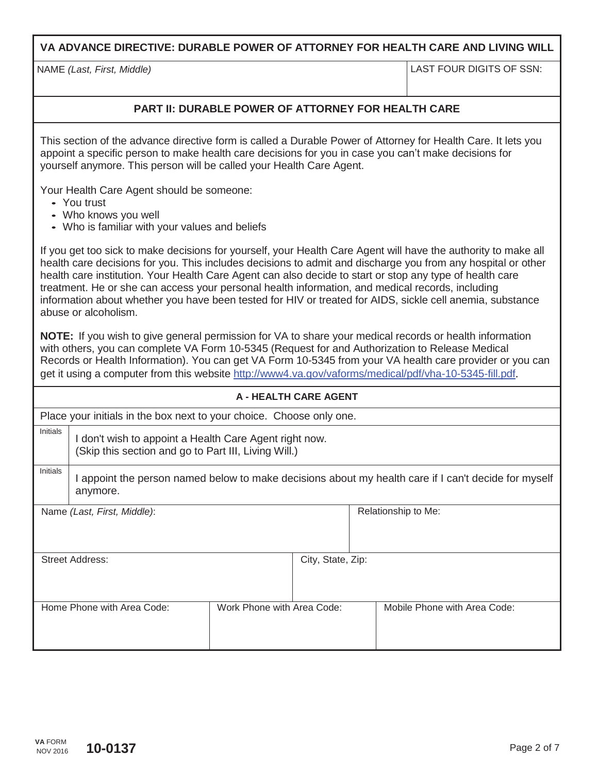**VA ADVANCE DIRECTIVE: DURABLE POWER OF ATTORNEY FOR HEALTH CARE AND LIVING WILL**

NAME *(Last, First, Middle)* LAST FOUR DIGITS OF SSN:

## **PART II: DURABLE POWER OF ATTORNEY FOR HEALTH CARE**

This section of the advance directive form is called a Durable Power of Attorney for Health Care. It lets you appoint a specific person to make health care decisions for you in case you can't make decisions for yourself anymore. This person will be called your Health Care Agent.

Your Health Care Agent should be someone:

- You trust
- Who knows you well
- Who is familiar with your values and beliefs

If you get too sick to make decisions for yourself, your Health Care Agent will have the authority to make all health care decisions for you. This includes decisions to admit and discharge you from any hospital or other health care institution. Your Health Care Agent can also decide to start or stop any type of health care treatment. He or she can access your personal health information, and medical records, including information about whether you have been tested for HIV or treated for AIDS, sickle cell anemia, substance abuse or alcoholism.

**NOTE:** If you wish to give general permission for VA to share your medical records or health information with others, you can complete VA Form 10-5345 (Request for and Authorization to Release Medical Records or Health Information). You can get VA Form 10-5345 from your VA health care provider or you can get it using a computer from this website<http://www4.va.gov/vaforms/medical/pdf/vha-10-5345-fill.pdf>.

| <b>A - HEALTH CARE AGENT</b>                                         |                                                                                                                  |                            |                   |  |                              |
|----------------------------------------------------------------------|------------------------------------------------------------------------------------------------------------------|----------------------------|-------------------|--|------------------------------|
| Place your initials in the box next to your choice. Choose only one. |                                                                                                                  |                            |                   |  |                              |
| Initials                                                             | I don't wish to appoint a Health Care Agent right now.<br>(Skip this section and go to Part III, Living Will.)   |                            |                   |  |                              |
| Initials                                                             | I appoint the person named below to make decisions about my health care if I can't decide for myself<br>anymore. |                            |                   |  |                              |
|                                                                      | Name (Last, First, Middle):                                                                                      |                            |                   |  | Relationship to Me:          |
|                                                                      | <b>Street Address:</b>                                                                                           |                            | City, State, Zip: |  |                              |
|                                                                      | Home Phone with Area Code:                                                                                       | Work Phone with Area Code: |                   |  | Mobile Phone with Area Code: |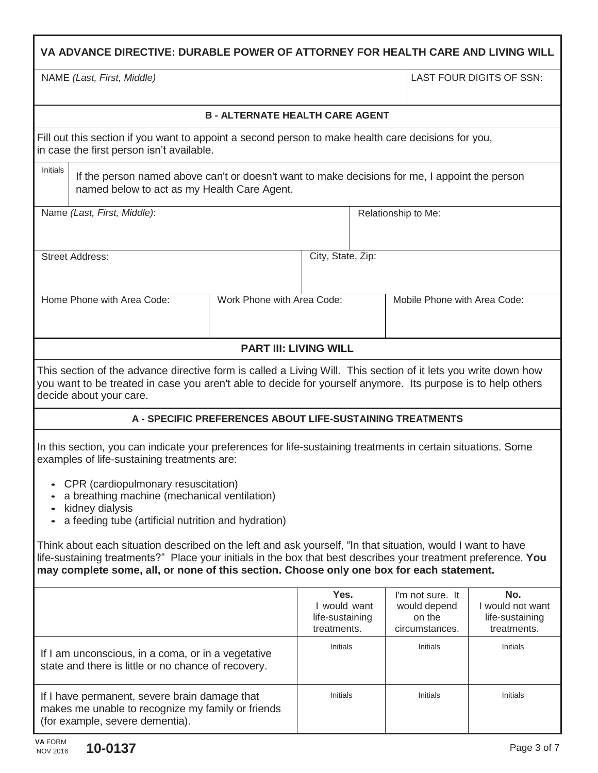| VA ADVANCE DIRECTIVE: DURABLE POWER OF ATTORNEY FOR HEALTH CARE AND LIVING WILL                                                                                                                                                                                                                                               |                                                           |                                                        |  |                                                              |                                                           |  |
|-------------------------------------------------------------------------------------------------------------------------------------------------------------------------------------------------------------------------------------------------------------------------------------------------------------------------------|-----------------------------------------------------------|--------------------------------------------------------|--|--------------------------------------------------------------|-----------------------------------------------------------|--|
| NAME (Last, First, Middle)                                                                                                                                                                                                                                                                                                    |                                                           |                                                        |  |                                                              | LAST FOUR DIGITS OF SSN:                                  |  |
|                                                                                                                                                                                                                                                                                                                               | <b>B - ALTERNATE HEALTH CARE AGENT</b>                    |                                                        |  |                                                              |                                                           |  |
| Fill out this section if you want to appoint a second person to make health care decisions for you,<br>in case the first person isn't available.                                                                                                                                                                              |                                                           |                                                        |  |                                                              |                                                           |  |
| Initials<br>If the person named above can't or doesn't want to make decisions for me, I appoint the person<br>named below to act as my Health Care Agent.                                                                                                                                                                     |                                                           |                                                        |  |                                                              |                                                           |  |
| Name (Last, First, Middle):                                                                                                                                                                                                                                                                                                   |                                                           |                                                        |  | Relationship to Me:                                          |                                                           |  |
| <b>Street Address:</b>                                                                                                                                                                                                                                                                                                        |                                                           | City, State, Zip:                                      |  |                                                              |                                                           |  |
| Home Phone with Area Code:                                                                                                                                                                                                                                                                                                    | Work Phone with Area Code:                                |                                                        |  | Mobile Phone with Area Code:                                 |                                                           |  |
|                                                                                                                                                                                                                                                                                                                               | <b>PART III: LIVING WILL</b>                              |                                                        |  |                                                              |                                                           |  |
| This section of the advance directive form is called a Living Will. This section of it lets you write down how<br>you want to be treated in case you aren't able to decide for yourself anymore. Its purpose is to help others<br>decide about your care.                                                                     |                                                           |                                                        |  |                                                              |                                                           |  |
|                                                                                                                                                                                                                                                                                                                               | A - SPECIFIC PREFERENCES ABOUT LIFE-SUSTAINING TREATMENTS |                                                        |  |                                                              |                                                           |  |
| In this section, you can indicate your preferences for life-sustaining treatments in certain situations. Some<br>examples of life-sustaining treatments are:<br>CPR (cardiopulmonary resuscitation)<br>a breathing machine (mechanical ventilation)<br>kidney dialysis<br>a feeding tube (artificial nutrition and hydration) |                                                           |                                                        |  |                                                              |                                                           |  |
| Think about each situation described on the left and ask yourself, "In that situation, would I want to have<br>life-sustaining treatments?" Place your initials in the box that best describes your treatment preference. You<br>may complete some, all, or none of this section. Choose only one box for each statement.     |                                                           |                                                        |  |                                                              |                                                           |  |
|                                                                                                                                                                                                                                                                                                                               |                                                           | Yes.<br>I would want<br>life-sustaining<br>treatments. |  | I'm not sure. It<br>would depend<br>on the<br>circumstances. | No.<br>I would not want<br>life-sustaining<br>treatments. |  |
| If I am unconscious, in a coma, or in a vegetative<br>state and there is little or no chance of recovery.                                                                                                                                                                                                                     |                                                           | Initials                                               |  | Initials                                                     | Initials                                                  |  |
| If I have permanent, severe brain damage that<br>makes me unable to recognize my family or friends<br>(for example, severe dementia).                                                                                                                                                                                         |                                                           | Initials                                               |  | <b>Initials</b>                                              | Initials                                                  |  |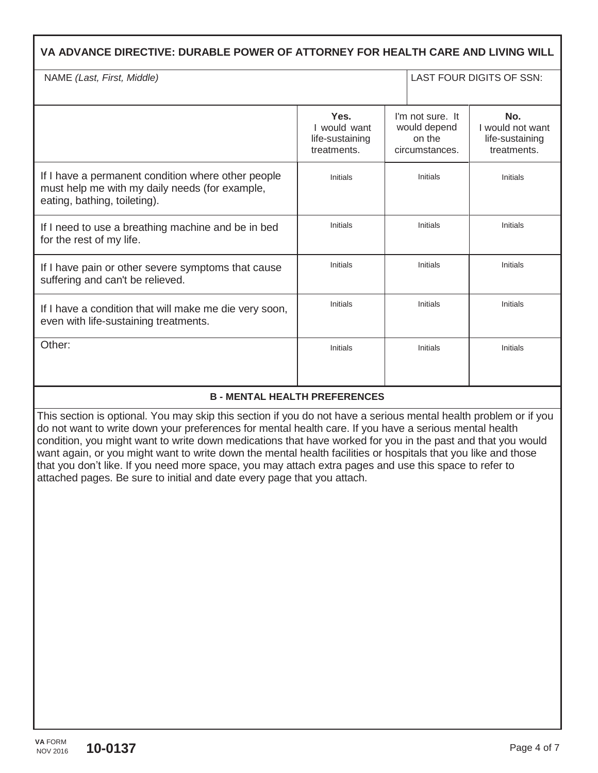| VA ADVANCE DIRECTIVE: DURABLE POWER OF ATTORNEY FOR HEALTH CARE AND LIVING WILL                                                      |                                                        |                                                              |                                                           |
|--------------------------------------------------------------------------------------------------------------------------------------|--------------------------------------------------------|--------------------------------------------------------------|-----------------------------------------------------------|
| NAME (Last, First, Middle)                                                                                                           |                                                        |                                                              | LAST FOUR DIGITS OF SSN:                                  |
|                                                                                                                                      | Yes.<br>I would want<br>life-sustaining<br>treatments. | I'm not sure. It<br>would depend<br>on the<br>circumstances. | No.<br>I would not want<br>life-sustaining<br>treatments. |
| If I have a permanent condition where other people<br>must help me with my daily needs (for example,<br>eating, bathing, toileting). | Initials                                               | Initials                                                     | Initials                                                  |
| If I need to use a breathing machine and be in bed<br>for the rest of my life.                                                       | Initials                                               | Initials                                                     | Initials                                                  |
| If I have pain or other severe symptoms that cause<br>suffering and can't be relieved.                                               | Initials                                               | Initials                                                     | Initials                                                  |
| If I have a condition that will make me die very soon,<br>even with life-sustaining treatments.                                      | <b>Initials</b>                                        | Initials                                                     | Initials                                                  |
| Other:                                                                                                                               | Initials                                               | Initials                                                     | Initials                                                  |

## **B - MENTAL HEALTH PREFERENCES**

This section is optional. You may skip this section if you do not have a serious mental health problem or if you do not want to write down your preferences for mental health care. If you have a serious mental health condition, you might want to write down medications that have worked for you in the past and that you would want again, or you might want to write down the mental health facilities or hospitals that you like and those that you don't like. If you need more space, you may attach extra pages and use this space to refer to attached pages. Be sure to initial and date every page that you attach.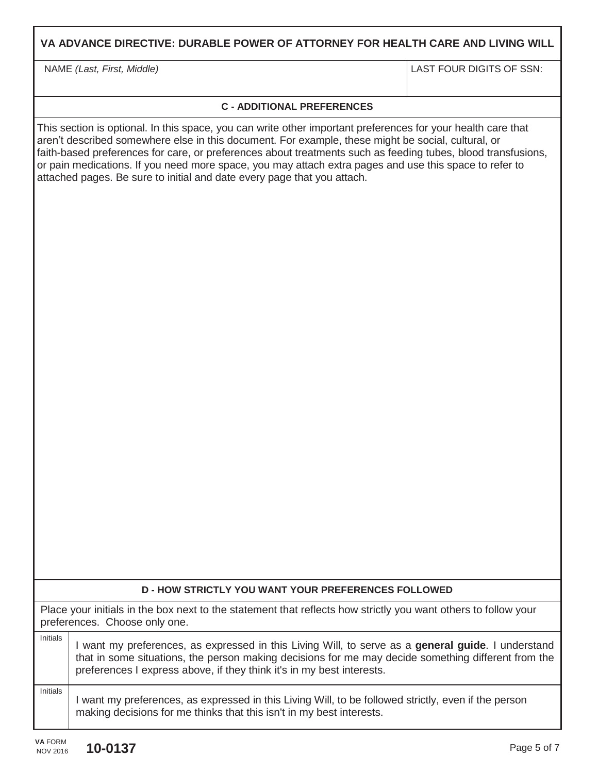|                                                                                                                                                 | NAME (Last, First, Middle)                                                                                                                                                                                                                                                                                                                                                                                                                                                                                              | LAST FOUR DIGITS OF SSN: |  |  |
|-------------------------------------------------------------------------------------------------------------------------------------------------|-------------------------------------------------------------------------------------------------------------------------------------------------------------------------------------------------------------------------------------------------------------------------------------------------------------------------------------------------------------------------------------------------------------------------------------------------------------------------------------------------------------------------|--------------------------|--|--|
|                                                                                                                                                 |                                                                                                                                                                                                                                                                                                                                                                                                                                                                                                                         |                          |  |  |
|                                                                                                                                                 | <b>C - ADDITIONAL PREFERENCES</b>                                                                                                                                                                                                                                                                                                                                                                                                                                                                                       |                          |  |  |
|                                                                                                                                                 | This section is optional. In this space, you can write other important preferences for your health care that<br>aren't described somewhere else in this document. For example, these might be social, cultural, or<br>faith-based preferences for care, or preferences about treatments such as feeding tubes, blood transfusions,<br>or pain medications. If you need more space, you may attach extra pages and use this space to refer to<br>attached pages. Be sure to initial and date every page that you attach. |                          |  |  |
|                                                                                                                                                 |                                                                                                                                                                                                                                                                                                                                                                                                                                                                                                                         |                          |  |  |
|                                                                                                                                                 |                                                                                                                                                                                                                                                                                                                                                                                                                                                                                                                         |                          |  |  |
|                                                                                                                                                 |                                                                                                                                                                                                                                                                                                                                                                                                                                                                                                                         |                          |  |  |
|                                                                                                                                                 |                                                                                                                                                                                                                                                                                                                                                                                                                                                                                                                         |                          |  |  |
| <b>D-HOW STRICTLY YOU WANT YOUR PREFERENCES FOLLOWED</b>                                                                                        |                                                                                                                                                                                                                                                                                                                                                                                                                                                                                                                         |                          |  |  |
| Place your initials in the box next to the statement that reflects how strictly you want others to follow your<br>preferences. Choose only one. |                                                                                                                                                                                                                                                                                                                                                                                                                                                                                                                         |                          |  |  |
| <b>Initials</b>                                                                                                                                 | I want my preferences, as expressed in this Living Will, to serve as a <b>general guide</b> . I understand<br>that in some situations, the person making decisions for me may decide something different from the<br>preferences I express above, if they think it's in my best interests.                                                                                                                                                                                                                              |                          |  |  |
| <b>Initials</b>                                                                                                                                 | I want my preferences, as expressed in this Living Will, to be followed strictly, even if the person<br>making decisions for me thinks that this isn't in my best interests.                                                                                                                                                                                                                                                                                                                                            |                          |  |  |

**VA ADVANCE DIRECTIVE: DURABLE POWER OF ATTORNEY FOR HEALTH CARE AND LIVING WILL**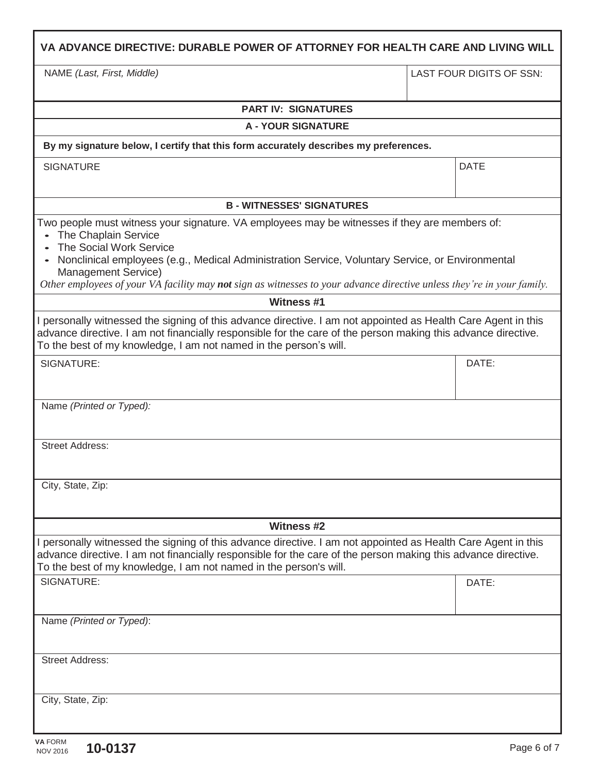| VA ADVANCE DIRECTIVE: DURABLE POWER OF ATTORNEY FOR HEALTH CARE AND LIVING WILL                                                                                                                                                                                                                                                                                                                                    |  |                          |  |
|--------------------------------------------------------------------------------------------------------------------------------------------------------------------------------------------------------------------------------------------------------------------------------------------------------------------------------------------------------------------------------------------------------------------|--|--------------------------|--|
| NAME (Last, First, Middle)                                                                                                                                                                                                                                                                                                                                                                                         |  | LAST FOUR DIGITS OF SSN: |  |
| <b>PART IV: SIGNATURES</b>                                                                                                                                                                                                                                                                                                                                                                                         |  |                          |  |
| <b>A - YOUR SIGNATURE</b>                                                                                                                                                                                                                                                                                                                                                                                          |  |                          |  |
| By my signature below, I certify that this form accurately describes my preferences.                                                                                                                                                                                                                                                                                                                               |  |                          |  |
| <b>SIGNATURE</b>                                                                                                                                                                                                                                                                                                                                                                                                   |  | <b>DATE</b>              |  |
| <b>B - WITNESSES' SIGNATURES</b>                                                                                                                                                                                                                                                                                                                                                                                   |  |                          |  |
| Two people must witness your signature. VA employees may be witnesses if they are members of:<br>The Chaplain Service<br>The Social Work Service<br>Nonclinical employees (e.g., Medical Administration Service, Voluntary Service, or Environmental<br>$\bullet$<br>Management Service)<br>Other employees of your VA facility may not sign as witnesses to your advance directive unless they're in your family. |  |                          |  |
| <b>Witness #1</b>                                                                                                                                                                                                                                                                                                                                                                                                  |  |                          |  |
| I personally witnessed the signing of this advance directive. I am not appointed as Health Care Agent in this<br>advance directive. I am not financially responsible for the care of the person making this advance directive.<br>To the best of my knowledge, I am not named in the person's will.                                                                                                                |  |                          |  |
| SIGNATURE:                                                                                                                                                                                                                                                                                                                                                                                                         |  | DATE:                    |  |
| Name (Printed or Typed):                                                                                                                                                                                                                                                                                                                                                                                           |  |                          |  |
| <b>Street Address:</b>                                                                                                                                                                                                                                                                                                                                                                                             |  |                          |  |
| City, State, Zip:                                                                                                                                                                                                                                                                                                                                                                                                  |  |                          |  |
| <b>Witness #2</b>                                                                                                                                                                                                                                                                                                                                                                                                  |  |                          |  |
| I personally witnessed the signing of this advance directive. I am not appointed as Health Care Agent in this<br>advance directive. I am not financially responsible for the care of the person making this advance directive.<br>To the best of my knowledge, I am not named in the person's will.                                                                                                                |  |                          |  |
| SIGNATURE:                                                                                                                                                                                                                                                                                                                                                                                                         |  | DATE:                    |  |
| Name (Printed or Typed):                                                                                                                                                                                                                                                                                                                                                                                           |  |                          |  |
| <b>Street Address:</b>                                                                                                                                                                                                                                                                                                                                                                                             |  |                          |  |
| City, State, Zip:                                                                                                                                                                                                                                                                                                                                                                                                  |  |                          |  |